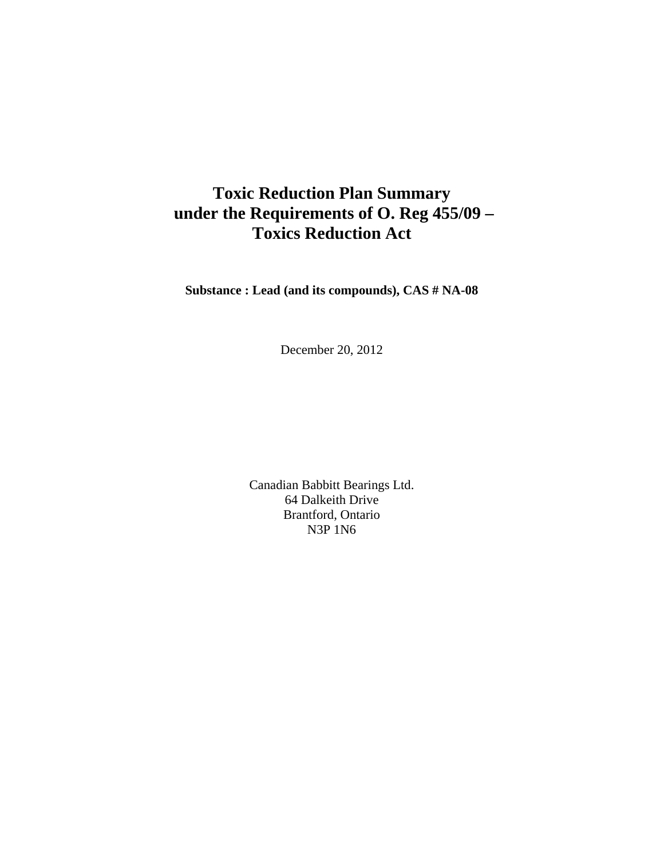# **Toxic Reduction Plan Summary under the Requirements of O. Reg 455/09 – Toxics Reduction Act**

**Substance : Lead (and its compounds), CAS # NA-08** 

December 20, 2012

Canadian Babbitt Bearings Ltd. 64 Dalkeith Drive Brantford, Ontario N3P 1N6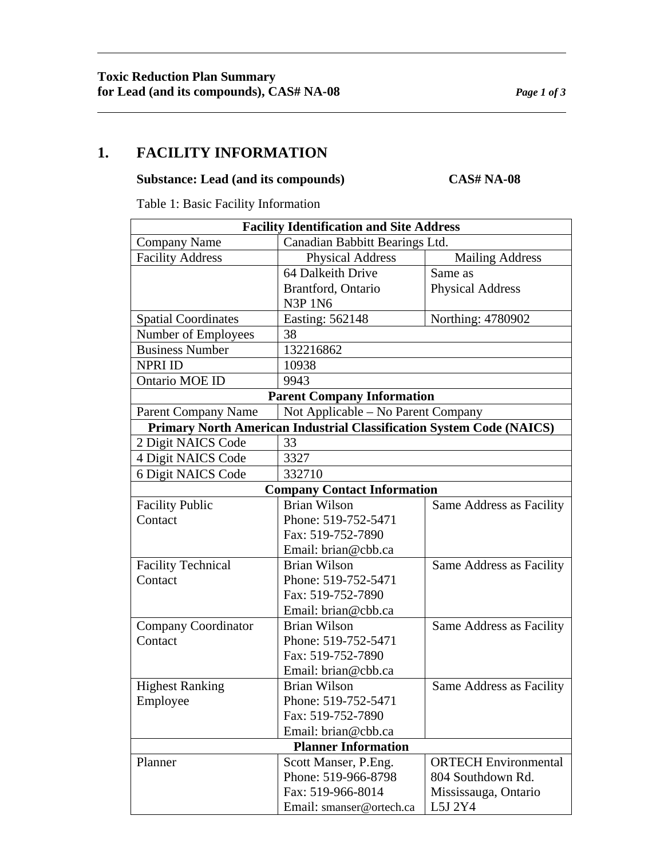#### **Substance: Lead (and its compounds) CAS# NA-08**

Table 1: Basic Facility Information

| <b>Facility Identification and Site Address</b>                             |                                    |                             |
|-----------------------------------------------------------------------------|------------------------------------|-----------------------------|
| <b>Company Name</b>                                                         | Canadian Babbitt Bearings Ltd.     |                             |
| <b>Facility Address</b>                                                     | <b>Physical Address</b>            | <b>Mailing Address</b>      |
|                                                                             | 64 Dalkeith Drive                  | Same as                     |
|                                                                             | Brantford, Ontario                 | <b>Physical Address</b>     |
|                                                                             | <b>N3P 1N6</b>                     |                             |
| <b>Spatial Coordinates</b>                                                  | Easting: 562148                    | Northing: 4780902           |
| Number of Employees                                                         | 38                                 |                             |
| <b>Business Number</b>                                                      | 132216862                          |                             |
| <b>NPRI ID</b>                                                              | 10938                              |                             |
| Ontario MOE ID                                                              | 9943                               |                             |
| <b>Parent Company Information</b>                                           |                                    |                             |
| <b>Parent Company Name</b>                                                  | Not Applicable – No Parent Company |                             |
| <b>Primary North American Industrial Classification System Code (NAICS)</b> |                                    |                             |
| 2 Digit NAICS Code                                                          | 33                                 |                             |
| 4 Digit NAICS Code                                                          | 3327                               |                             |
| 6 Digit NAICS Code                                                          | 332710                             |                             |
| <b>Company Contact Information</b>                                          |                                    |                             |
| <b>Facility Public</b>                                                      | <b>Brian Wilson</b>                | Same Address as Facility    |
| Contact                                                                     | Phone: 519-752-5471                |                             |
|                                                                             | Fax: 519-752-7890                  |                             |
|                                                                             | Email: brian@cbb.ca                |                             |
| <b>Facility Technical</b>                                                   | <b>Brian Wilson</b>                | Same Address as Facility    |
| Contact                                                                     | Phone: 519-752-5471                |                             |
|                                                                             | Fax: 519-752-7890                  |                             |
|                                                                             | Email: brian@cbb.ca                |                             |
| <b>Company Coordinator</b>                                                  | <b>Brian Wilson</b>                | Same Address as Facility    |
| Contact                                                                     | Phone: 519-752-5471                |                             |
|                                                                             | Fax: 519-752-7890                  |                             |
|                                                                             | Email: brian@cbb.ca                |                             |
| <b>Highest Ranking</b>                                                      | <b>Brian Wilson</b>                | Same Address as Facility    |
| Employee                                                                    | Phone: 519-752-5471                |                             |
|                                                                             | Fax: 519-752-7890                  |                             |
|                                                                             | Email: brian@cbb.ca                |                             |
| <b>Planner Information</b>                                                  |                                    |                             |
| Planner                                                                     | Scott Manser, P.Eng.               | <b>ORTECH Environmental</b> |
|                                                                             | Phone: 519-966-8798                | 804 Southdown Rd.           |
|                                                                             | Fax: 519-966-8014                  | Mississauga, Ontario        |
|                                                                             | Email: smanser@ortech.ca           | L5J 2Y4                     |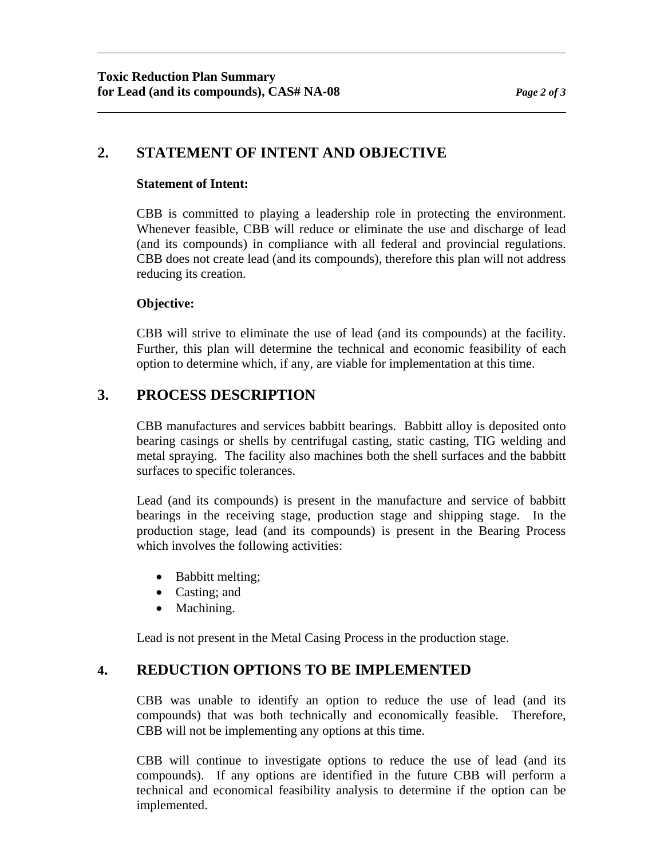# **2. STATEMENT OF INTENT AND OBJECTIVE**

#### **Statement of Intent:**

CBB is committed to playing a leadership role in protecting the environment. Whenever feasible, CBB will reduce or eliminate the use and discharge of lead (and its compounds) in compliance with all federal and provincial regulations. CBB does not create lead (and its compounds), therefore this plan will not address reducing its creation.

#### **Objective:**

CBB will strive to eliminate the use of lead (and its compounds) at the facility. Further, this plan will determine the technical and economic feasibility of each option to determine which, if any, are viable for implementation at this time.

## **3. PROCESS DESCRIPTION**

CBB manufactures and services babbitt bearings. Babbitt alloy is deposited onto bearing casings or shells by centrifugal casting, static casting, TIG welding and metal spraying. The facility also machines both the shell surfaces and the babbitt surfaces to specific tolerances.

Lead (and its compounds) is present in the manufacture and service of babbitt bearings in the receiving stage, production stage and shipping stage. In the production stage, lead (and its compounds) is present in the Bearing Process which involves the following activities:

- Babbitt melting;
- Casting; and
- Machining.

Lead is not present in the Metal Casing Process in the production stage.

## **4. REDUCTION OPTIONS TO BE IMPLEMENTED**

CBB was unable to identify an option to reduce the use of lead (and its compounds) that was both technically and economically feasible. Therefore, CBB will not be implementing any options at this time.

CBB will continue to investigate options to reduce the use of lead (and its compounds). If any options are identified in the future CBB will perform a technical and economical feasibility analysis to determine if the option can be implemented.